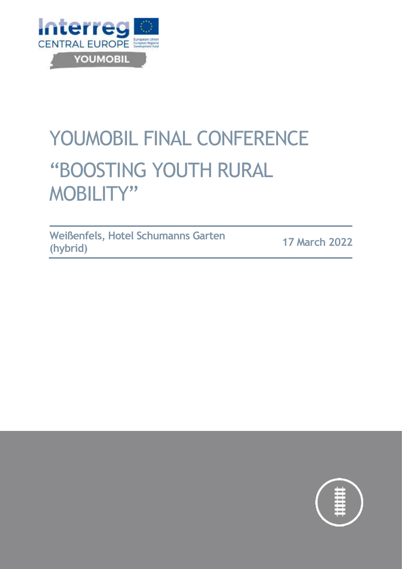

# YOUMOBIL FINAL CONFERENCE "BOOSTING YOUTH RURAL MOBILITY"

**Weißenfels, Hotel Schumanns Garten (hybrid) <sup>17</sup> March <sup>2022</sup>**

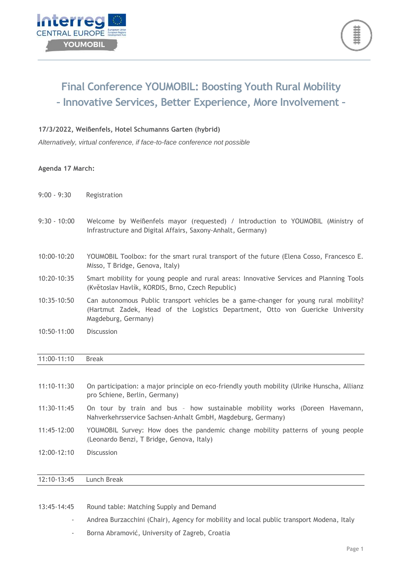



## **Final Conference YOUMOBIL: Boosting Youth Rural Mobility – Innovative Services, Better Experience, More Involvement –**

#### **17/3/2022, Weißenfels, Hotel Schumanns Garten (hybrid)**

*Alternatively, virtual conference, if face-to-face conference not possible*

#### **Agenda 17 March:**

- 9:00 9:30 Registration
- 9:30 10:00 Welcome by Weißenfels mayor (requested) / Introduction to YOUMOBIL (Ministry of Infrastructure and Digital Affairs, Saxony-Anhalt, Germany)
- 10:00-10:20 YOUMOBIL Toolbox: for the smart rural transport of the future (Elena Cosso, Francesco E. Misso, T Bridge, Genova, Italy)
- 10:20-10:35 Smart mobility for young people and rural areas: Innovative Services and Planning Tools (Květoslav Havlík, KORDIS, Brno, Czech Republic)
- 10:35-10:50 Can autonomous Public transport vehicles be a game-changer for young rural mobility? (Hartmut Zadek, Head of the Logistics Department, Otto von Guericke University Magdeburg, Germany)
- 10:50-11:00 Discussion

### 11:00-11:10 Break

| 11:10-11:30   | On participation: a major principle on eco-friendly youth mobility (Ulrike Hunscha, Allianz<br>pro Schiene, Berlin, Germany)               |
|---------------|--------------------------------------------------------------------------------------------------------------------------------------------|
| 11:30-11:45   | On tour by train and bus - how sustainable mobility works (Doreen Havemann,<br>Nahverkehrsservice Sachsen-Anhalt GmbH, Magdeburg, Germany) |
| 11:45-12:00   | YOUMOBIL Survey: How does the pandemic change mobility patterns of young people<br>(Leonardo Benzi, T Bridge, Genova, Italy)               |
| $12:00-12:10$ | <b>Discussion</b>                                                                                                                          |
|               |                                                                                                                                            |
| 12:10-13:45   | Lunch Break                                                                                                                                |

13:45-14:45 Round table: Matching Supply and Demand

- Andrea Burzacchini (Chair), Agency for mobility and local public transport Modena, Italy
- Borna Abramović, University of Zagreb, Croatia